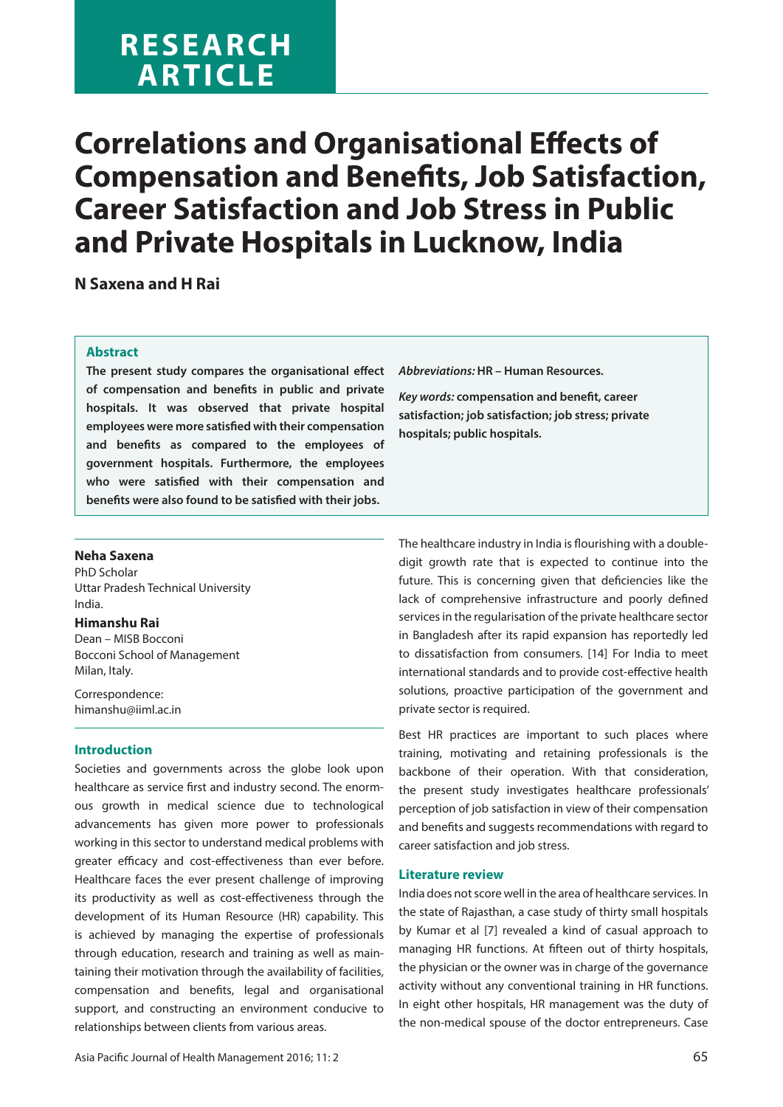# **RESEARCH ARTICLE**

# **Correlations and Organisational Effects of Compensation and Benefits, Job Satisfaction, Career Satisfaction and Job Stress in Public and Private Hospitals in Lucknow, India**

**N Saxena and H Rai**

#### **Abstract**

**The present study compares the organisational effect of compensation and benefits in public and private hospitals. It was observed that private hospital employees were more satisfied with their compensation and benefits as compared to the employees of government hospitals. Furthermore, the employees who were satisfied with their compensation and benefits were also found to be satisfied with their jobs.**

**Abbreviations: HR – Human Resources.**

**Key words: compensation and benefit, career satisfaction; job satisfaction; job stress; private hospitals; public hospitals.**

#### **Neha Saxena**

PhD Scholar Uttar Pradesh Technical University India.

#### **Himanshu Rai**

Dean – MISB Bocconi Bocconi School of Management Milan, Italy.

Correspondence: himanshu@iiml.ac.in

# **Introduction**

Societies and governments across the globe look upon healthcare as service first and industry second. The enormous growth in medical science due to technological advancements has given more power to professionals working in this sector to understand medical problems with greater efficacy and cost-effectiveness than ever before. Healthcare faces the ever present challenge of improving its productivity as well as cost-effectiveness through the development of its Human Resource (HR) capability. This is achieved by managing the expertise of professionals through education, research and training as well as maintaining their motivation through the availability of facilities, compensation and benefits, legal and organisational support, and constructing an environment conducive to relationships between clients from various areas.

The healthcare industry in India is flourishing with a doubledigit growth rate that is expected to continue into the future. This is concerning given that deficiencies like the lack of comprehensive infrastructure and poorly defined services in the regularisation of the private healthcare sector in Bangladesh after its rapid expansion has reportedly led to dissatisfaction from consumers. [14] For India to meet international standards and to provide cost-effective health solutions, proactive participation of the government and private sector is required.

Best HR practices are important to such places where training, motivating and retaining professionals is the backbone of their operation. With that consideration, the present study investigates healthcare professionals' perception of job satisfaction in view of their compensation and benefits and suggests recommendations with regard to career satisfaction and job stress.

#### **Literature review**

India does not score well in the area of healthcare services. In the state of Rajasthan, a case study of thirty small hospitals by Kumar et al [7] revealed a kind of casual approach to managing HR functions. At fifteen out of thirty hospitals, the physician or the owner was in charge of the governance activity without any conventional training in HR functions. In eight other hospitals, HR management was the duty of the non-medical spouse of the doctor entrepreneurs. Case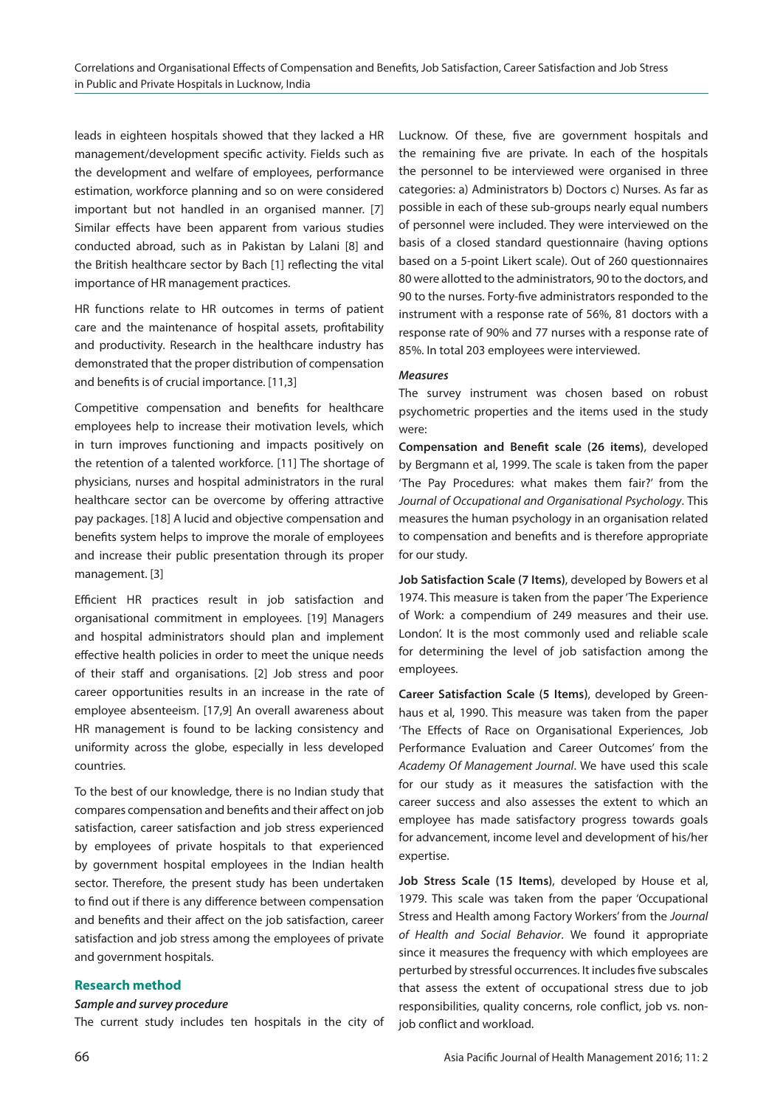leads in eighteen hospitals showed that they lacked a HR management/development specific activity. Fields such as the development and welfare of employees, performance estimation, workforce planning and so on were considered important but not handled in an organised manner. [7] Similar effects have been apparent from various studies conducted abroad, such as in Pakistan by Lalani [8] and the British healthcare sector by Bach [1] reflecting the vital importance of HR management practices.

HR functions relate to HR outcomes in terms of patient care and the maintenance of hospital assets, profitability and productivity. Research in the healthcare industry has demonstrated that the proper distribution of compensation and benefits is of crucial importance. [11,3]

Competitive compensation and benefits for healthcare employees help to increase their motivation levels, which in turn improves functioning and impacts positively on the retention of a talented workforce. [11] The shortage of physicians, nurses and hospital administrators in the rural healthcare sector can be overcome by offering attractive pay packages. [18] A lucid and objective compensation and benefits system helps to improve the morale of employees and increase their public presentation through its proper management. [3]

Efficient HR practices result in job satisfaction and organisational commitment in employees. [19] Managers and hospital administrators should plan and implement effective health policies in order to meet the unique needs of their staff and organisations. [2] Job stress and poor career opportunities results in an increase in the rate of employee absenteeism. [17,9] An overall awareness about HR management is found to be lacking consistency and uniformity across the globe, especially in less developed countries.

To the best of our knowledge, there is no Indian study that compares compensation and benefits and their affect on job satisfaction, career satisfaction and job stress experienced by employees of private hospitals to that experienced by government hospital employees in the Indian health sector. Therefore, the present study has been undertaken to find out if there is any difference between compensation and benefits and their affect on the job satisfaction, career satisfaction and job stress among the employees of private and government hospitals.

#### **Research method**

#### **Sample and survey procedure**

The current study includes ten hospitals in the city of

Lucknow. Of these, five are government hospitals and the remaining five are private. In each of the hospitals the personnel to be interviewed were organised in three categories: a) Administrators b) Doctors c) Nurses. As far as possible in each of these sub-groups nearly equal numbers of personnel were included. They were interviewed on the basis of a closed standard questionnaire (having options based on a 5-point Likert scale). Out of 260 questionnaires 80 were allotted to the administrators, 90 to the doctors, and 90 to the nurses. Forty-five administrators responded to the instrument with a response rate of 56%, 81 doctors with a response rate of 90% and 77 nurses with a response rate of 85%. In total 203 employees were interviewed.

#### **Measures**

The survey instrument was chosen based on robust psychometric properties and the items used in the study were:

**Compensation and Benefit scale (26 items)**, developed by Bergmann et al, 1999. The scale is taken from the paper 'The Pay Procedures: what makes them fair?' from the Journal of Occupational and Organisational Psychology. This measures the human psychology in an organisation related to compensation and benefits and is therefore appropriate for our study.

**Job Satisfaction Scale (7 Items)**, developed by Bowers et al 1974. This measure is taken from the paper 'The Experience of Work: a compendium of 249 measures and their use. London'. It is the most commonly used and reliable scale for determining the level of job satisfaction among the employees.

**Career Satisfaction Scale (5 Items)**, developed by Greenhaus et al, 1990. This measure was taken from the paper 'The Effects of Race on Organisational Experiences, Job Performance Evaluation and Career Outcomes' from the Academy Of Management Journal. We have used this scale for our study as it measures the satisfaction with the career success and also assesses the extent to which an employee has made satisfactory progress towards goals for advancement, income level and development of his/her expertise.

**Job Stress Scale (15 Items)**, developed by House et al, 1979. This scale was taken from the paper 'Occupational Stress and Health among Factory Workers' from the Journal of Health and Social Behavior. We found it appropriate since it measures the frequency with which employees are perturbed by stressful occurrences. It includes five subscales that assess the extent of occupational stress due to job responsibilities, quality concerns, role conflict, job vs. nonjob conflict and workload.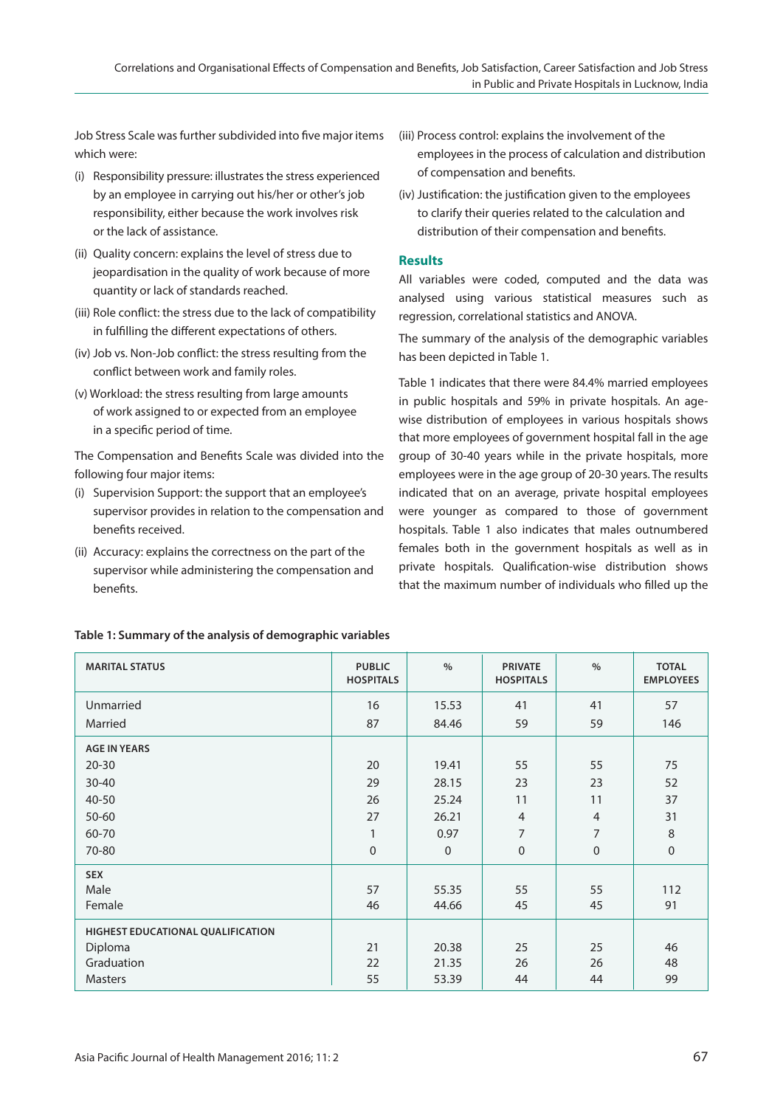Job Stress Scale was further subdivided into five major items which were:

- (i) Responsibility pressure: illustrates the stress experienced by an employee in carrying out his/her or other's job responsibility, either because the work involves risk or the lack of assistance.
- (ii) Quality concern: explains the level of stress due to jeopardisation in the quality of work because of more quantity or lack of standards reached.
- (iii) Role conflict: the stress due to the lack of compatibility in fulfilling the different expectations of others.
- (iv) Job vs. Non-Job conflict: the stress resulting from the conflict between work and family roles.
- (v) Workload: the stress resulting from large amounts of work assigned to or expected from an employee in a specific period of time.

The Compensation and Benefits Scale was divided into the following four major items:

- (i) Supervision Support: the support that an employee's supervisor provides in relation to the compensation and benefits received.
- (ii) Accuracy: explains the correctness on the part of the supervisor while administering the compensation and benefits.
- (iii) Process control: explains the involvement of the employees in the process of calculation and distribution of compensation and benefits.
- (iv) Justification: the justification given to the employees to clarify their queries related to the calculation and distribution of their compensation and benefits.

# **Results**

All variables were coded, computed and the data was analysed using various statistical measures such as regression, correlational statistics and ANOVA.

The summary of the analysis of the demographic variables has been depicted in Table 1.

Table 1 indicates that there were 84.4% married employees in public hospitals and 59% in private hospitals. An agewise distribution of employees in various hospitals shows that more employees of government hospital fall in the age group of 30-40 years while in the private hospitals, more employees were in the age group of 20-30 years. The results indicated that on an average, private hospital employees were younger as compared to those of government hospitals. Table 1 also indicates that males outnumbered females both in the government hospitals as well as in private hospitals. Qualification-wise distribution shows that the maximum number of individuals who filled up the

| <b>MARITAL STATUS</b>             | <b>PUBLIC</b><br><b>HOSPITALS</b> | $\%$         | <b>PRIVATE</b><br><b>HOSPITALS</b> | $\%$           | <b>TOTAL</b><br><b>EMPLOYEES</b> |
|-----------------------------------|-----------------------------------|--------------|------------------------------------|----------------|----------------------------------|
| Unmarried                         | 16                                | 15.53        | 41                                 | 41             | 57                               |
| Married                           | 87                                | 84.46        | 59                                 | 59             | 146                              |
| <b>AGE IN YEARS</b>               |                                   |              |                                    |                |                                  |
| $20 - 30$                         | 20                                | 19.41        | 55                                 | 55             | 75                               |
| $30 - 40$                         | 29                                | 28.15        | 23                                 | 23             | 52                               |
| 40-50                             | 26                                | 25.24        | 11                                 | 11             | 37                               |
| 50-60                             | 27                                | 26.21        | $\overline{4}$                     | $\overline{4}$ | 31                               |
| 60-70                             | $\mathbf{1}$                      | 0.97         | 7                                  | $\overline{7}$ | $\,8\,$                          |
| 70-80                             | 0                                 | $\mathbf{0}$ | $\boldsymbol{0}$                   | $\mathbf 0$    | $\mathbf 0$                      |
| <b>SEX</b>                        |                                   |              |                                    |                |                                  |
| Male                              | 57                                | 55.35        | 55                                 | 55             | 112                              |
| Female                            | 46                                | 44.66        | 45                                 | 45             | 91                               |
| HIGHEST EDUCATIONAL QUALIFICATION |                                   |              |                                    |                |                                  |
| Diploma                           | 21                                | 20.38        | 25                                 | 25             | 46                               |
| Graduation                        | 22                                | 21.35        | 26                                 | 26             | 48                               |
| <b>Masters</b>                    | 55                                | 53.39        | 44                                 | 44             | 99                               |

# **Table 1: Summary of the analysis of demographic variables**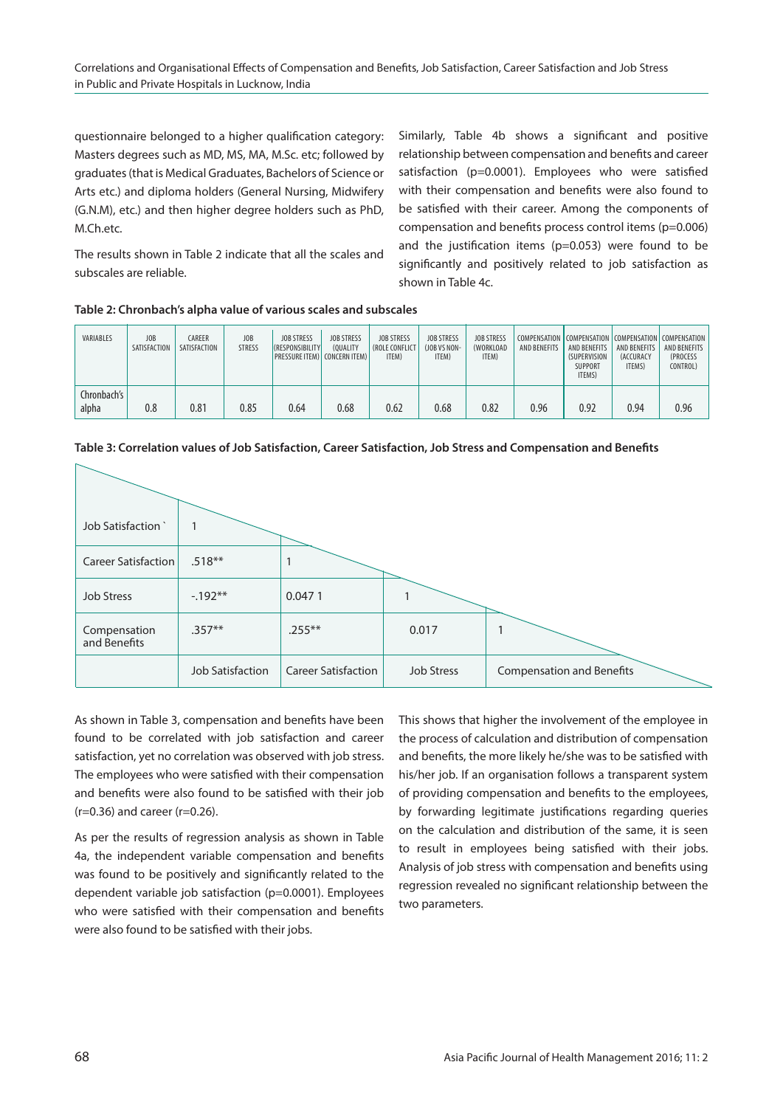questionnaire belonged to a higher qualification category: Masters degrees such as MD, MS, MA, M.Sc. etc; followed by graduates (that is Medical Graduates, Bachelors of Science or Arts etc.) and diploma holders (General Nursing, Midwifery (G.N.M), etc.) and then higher degree holders such as PhD, M.Ch.etc.

Similarly, Table 4b shows a significant and positive relationship between compensation and benefits and career satisfaction (p=0.0001). Employees who were satisfied with their compensation and benefits were also found to be satisfied with their career. Among the components of compensation and benefits process control items (p=0.006) and the justification items ( $p=0.053$ ) were found to be significantly and positively related to job satisfaction as shown in Table 4c.

The results shown in Table 2 indicate that all the scales and subscales are reliable.

| VARIABLES            | JOB<br>SATISFACTION | CAREER<br>SATISFACTION | JOB<br><b>STRESS</b> | <b>JOB STRESS</b><br><b>(RESPONSIBILITY)</b><br><b>PRESSURE ITEM) CONCERN ITEM)</b> | <b>JOB STRESS</b><br>(OUALITY | <b>JOB STRESS</b><br><b>(ROLE CONFLICT</b><br>ITEM) | <b>JOB STRESS</b><br>(JOB VS NON-<br>ITEM) | <b>JOB STRESS</b><br>(WORKLOAD<br>ITEM) | AND BENEFITS | COMPENSATION COMPENSATION COMPENSATION COMPENSATION<br>AND BENEFITS<br><b>(SUPERVISION</b><br><b>SUPPORT</b><br>ITEMS) | AND BENEFITS<br><b>(ACCURACY</b><br>ITEMS) | <b>AND BENEFITS</b><br>(PROCESS<br>CONTROL) |
|----------------------|---------------------|------------------------|----------------------|-------------------------------------------------------------------------------------|-------------------------------|-----------------------------------------------------|--------------------------------------------|-----------------------------------------|--------------|------------------------------------------------------------------------------------------------------------------------|--------------------------------------------|---------------------------------------------|
| Chronbach's<br>alpha | 0.8                 | 0.81                   | 0.85                 | 0.64                                                                                | 0.68                          | 0.62                                                | 0.68                                       | 0.82                                    | 0.96         | 0.92                                                                                                                   | 0.94                                       | 0.96                                        |

#### **Table 2: Chronbach's alpha value of various scales and subscales**



**Table 3: Correlation values of Job Satisfaction, Career Satisfaction, Job Stress and Compensation and Benefits**

As shown in Table 3, compensation and benefits have been found to be correlated with job satisfaction and career satisfaction, yet no correlation was observed with job stress. The employees who were satisfied with their compensation and benefits were also found to be satisfied with their job (r=0.36) and career (r=0.26).

As per the results of regression analysis as shown in Table 4a, the independent variable compensation and benefits was found to be positively and significantly related to the dependent variable job satisfaction (p=0.0001). Employees who were satisfied with their compensation and benefits were also found to be satisfied with their jobs.

This shows that higher the involvement of the employee in the process of calculation and distribution of compensation and benefits, the more likely he/she was to be satisfied with his/her job. If an organisation follows a transparent system of providing compensation and benefits to the employees, by forwarding legitimate justifications regarding queries on the calculation and distribution of the same, it is seen to result in employees being satisfied with their jobs. Analysis of job stress with compensation and benefits using regression revealed no significant relationship between the two parameters.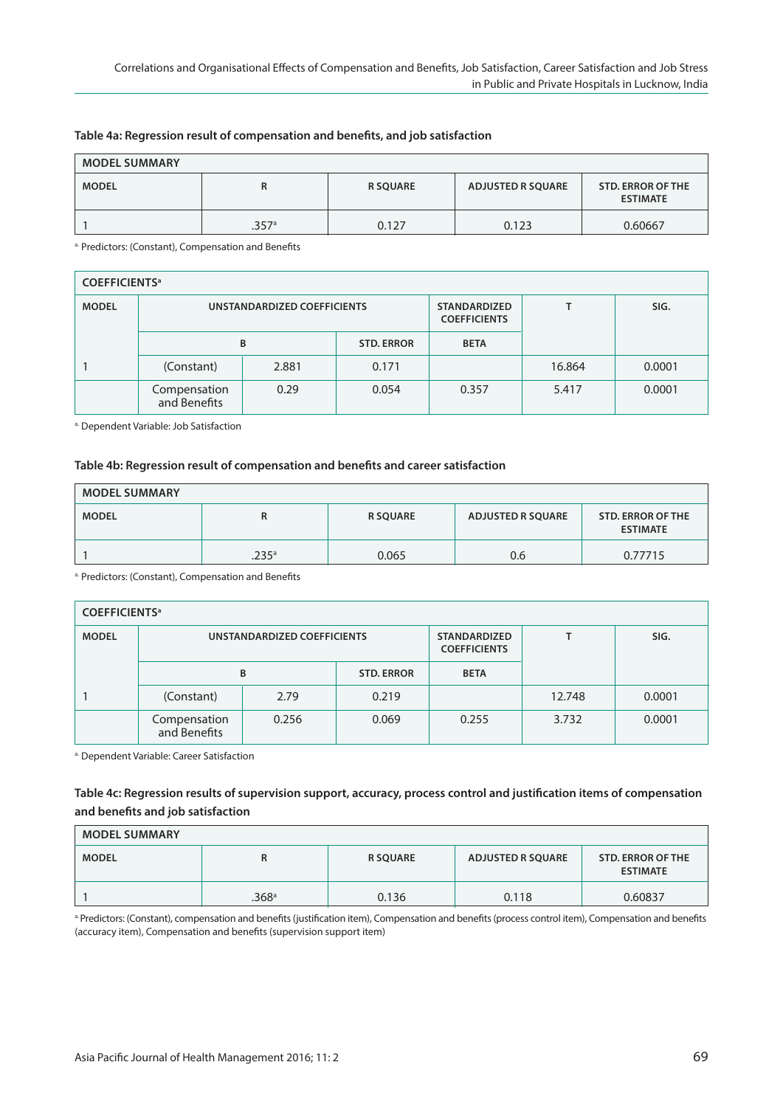| <b>MODEL SUMMARY</b> |       |                 |                          |                                             |  |  |  |  |  |
|----------------------|-------|-----------------|--------------------------|---------------------------------------------|--|--|--|--|--|
| <b>MODEL</b>         | к     | <b>R SQUARE</b> | <b>ADJUSTED R SQUARE</b> | <b>STD. ERROR OF THE</b><br><b>ESTIMATE</b> |  |  |  |  |  |
|                      | .357a | 0.127           | 0.123                    | 0.60667                                     |  |  |  |  |  |

#### **Table 4a: Regression result of compensation and benefits, and job satisfaction**

a. Predictors: (Constant), Compensation and Benefits

| <b>COEFFICIENTS<sup>a</sup></b> |                              |                             |                   |                                            |        |        |  |  |  |  |
|---------------------------------|------------------------------|-----------------------------|-------------------|--------------------------------------------|--------|--------|--|--|--|--|
| <b>MODEL</b>                    |                              | UNSTANDARDIZED COEFFICIENTS |                   | <b>STANDARDIZED</b><br><b>COEFFICIENTS</b> |        | SIG.   |  |  |  |  |
|                                 |                              | B                           | <b>STD. ERROR</b> | <b>BETA</b>                                |        |        |  |  |  |  |
|                                 | (Constant)                   | 2.881                       | 0.171             |                                            | 16.864 | 0.0001 |  |  |  |  |
|                                 | Compensation<br>and Benefits | 0.29                        | 0.054             | 0.357                                      | 5.417  | 0.0001 |  |  |  |  |

a. Dependent Variable: Job Satisfaction

#### **Table 4b: Regression result of compensation and benefits and career satisfaction**

| <b>MODEL SUMMARY</b> |                     |                 |                   |                                             |  |  |  |  |
|----------------------|---------------------|-----------------|-------------------|---------------------------------------------|--|--|--|--|
| <b>MODEL</b>         | к                   | <b>R SQUARE</b> | ADJUSTED R SQUARE | <b>STD. ERROR OF THE</b><br><b>ESTIMATE</b> |  |  |  |  |
|                      | $.235$ <sup>a</sup> | 0.065           | 0.6               | 0.77715                                     |  |  |  |  |

a. Predictors: (Constant), Compensation and Benefits

# **CoeFFICIenTS<sup>a</sup>** MODEL **UNSTANDARDIZED COEFFICIENTS** STANDARDIZED T  **CoeFFICIenTS B** STD. ERROR BETA 1 (Constant) 2.79 0.219 12.748 0.0001 Compensation 0.256 0.069 0.255 3.732 0.0001 and Benefits

a. Dependent Variable: Career Satisfaction

# **Table 4c: Regression results of supervision support, accuracy, process control and justification items of compensation and benefits and job satisfaction**

| <b>MODEL SUMMARY</b> |                   |                 |                          |                                      |  |  |  |  |  |
|----------------------|-------------------|-----------------|--------------------------|--------------------------------------|--|--|--|--|--|
| <b>MODEL</b>         | R                 | <b>R SQUARE</b> | <b>ADJUSTED R SQUARE</b> | STD. ERROR OF THE<br><b>ESTIMATE</b> |  |  |  |  |  |
|                      | .368 <sup>a</sup> | 0.136           | 0.118                    | 0.60837                              |  |  |  |  |  |

a. Predictors: (Constant), compensation and benefits (justification item), Compensation and benefits (process control item), Compensation and benefits (accuracy item), Compensation and benefits (supervision support item)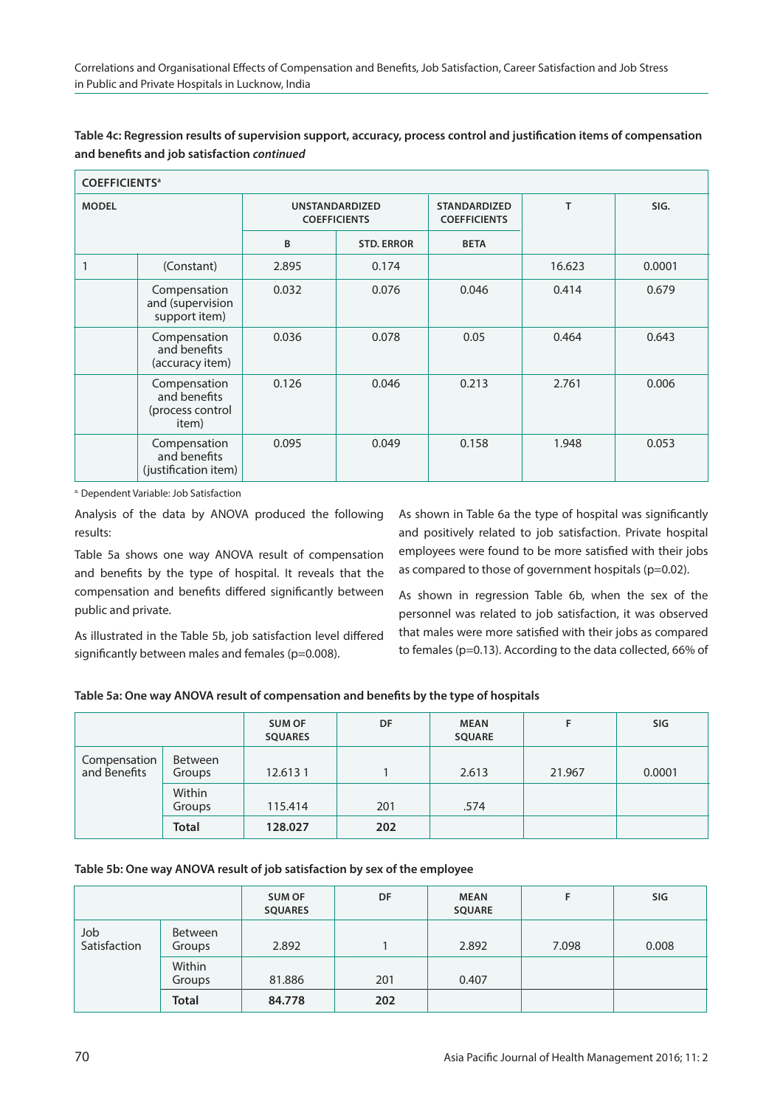| Table 4c: Regression results of supervision support, accuracy, process control and justification items of compensation |
|------------------------------------------------------------------------------------------------------------------------|
| and benefits and job satisfaction continued                                                                            |

| <b>COEFFICIENTS<sup>a</sup></b> |                                                           |                                              |                   |                                            |        |        |  |  |
|---------------------------------|-----------------------------------------------------------|----------------------------------------------|-------------------|--------------------------------------------|--------|--------|--|--|
| <b>MODEL</b>                    |                                                           | <b>UNSTANDARDIZED</b><br><b>COEFFICIENTS</b> |                   | <b>STANDARDIZED</b><br><b>COEFFICIENTS</b> | T      | SIG.   |  |  |
|                                 |                                                           | B                                            | <b>STD. ERROR</b> | <b>BETA</b>                                |        |        |  |  |
|                                 | (Constant)                                                | 2.895                                        | 0.174             |                                            | 16.623 | 0.0001 |  |  |
|                                 | Compensation<br>and (supervision<br>support item)         | 0.032                                        | 0.076             | 0.046                                      | 0.414  | 0.679  |  |  |
|                                 | Compensation<br>and benefits<br>(accuracy item)           | 0.036                                        | 0.078             | 0.05                                       | 0.464  | 0.643  |  |  |
|                                 | Compensation<br>and benefits<br>(process control<br>item) | 0.126                                        | 0.046             | 0.213                                      | 2.761  | 0.006  |  |  |
|                                 | Compensation<br>and benefits<br>(justification item)      | 0.095                                        | 0.049             | 0.158                                      | 1.948  | 0.053  |  |  |

a. Dependent Variable: Job Satisfaction

Analysis of the data by ANOVA produced the following results:

Table 5a shows one way ANOVA result of compensation and benefits by the type of hospital. It reveals that the compensation and benefits differed significantly between public and private.

As illustrated in the Table 5b, job satisfaction level differed significantly between males and females (p=0.008).

As shown in Table 6a the type of hospital was significantly and positively related to job satisfaction. Private hospital employees were found to be more satisfied with their jobs as compared to those of government hospitals (p=0.02).

As shown in regression Table 6b, when the sex of the personnel was related to job satisfaction, it was observed that males were more satisfied with their jobs as compared to females (p=0.13). According to the data collected, 66% of

|  |  | Table 5a: One way ANOVA result of compensation and benefits by the type of hospitals |  |  |
|--|--|--------------------------------------------------------------------------------------|--|--|
|--|--|--------------------------------------------------------------------------------------|--|--|

|                              |                   | <b>SUM OF</b><br><b>SQUARES</b> | DF  | <b>MEAN</b><br><b>SQUARE</b> |        | SIG    |
|------------------------------|-------------------|---------------------------------|-----|------------------------------|--------|--------|
| Compensation<br>and Benefits | Between<br>Groups | 12.6131                         |     | 2.613                        | 21.967 | 0.0001 |
|                              | Within<br>Groups  | 115.414                         | 201 | .574                         |        |        |
|                              | <b>Total</b>      | 128.027                         | 202 |                              |        |        |

# **Table 5b: one way anova result of job satisfaction by sex of the employee**

|                     |                          | <b>SUM OF</b><br><b>SQUARES</b> | DF  | <b>MEAN</b><br><b>SQUARE</b> |       | SIG   |
|---------------------|--------------------------|---------------------------------|-----|------------------------------|-------|-------|
| Job<br>Satisfaction | <b>Between</b><br>Groups | 2.892                           |     | 2.892                        | 7.098 | 0.008 |
|                     | Within<br>Groups         | 81.886                          | 201 | 0.407                        |       |       |
|                     | Total                    | 84.778                          | 202 |                              |       |       |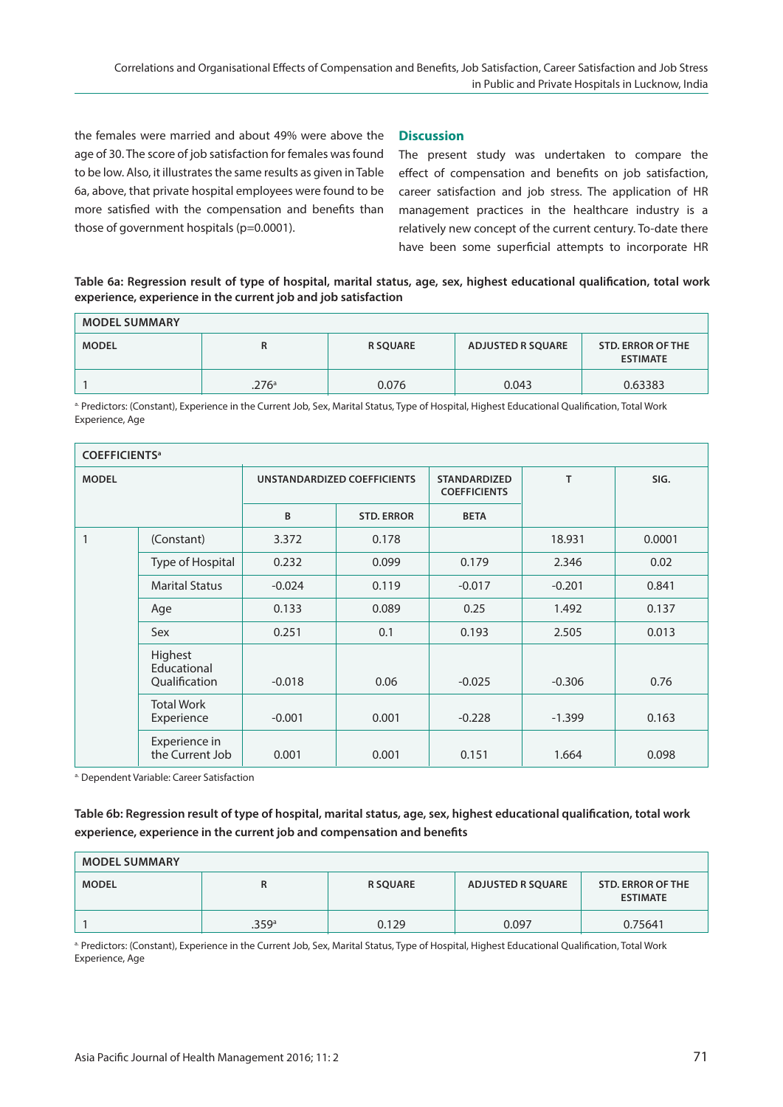the females were married and about 49% were above the age of 30. The score of job satisfaction for females was found to be low. Also, it illustrates the same results as given in Table 6a, above, that private hospital employees were found to be more satisfied with the compensation and benefits than those of government hospitals (p=0.0001).

# **Discussion**

The present study was undertaken to compare the effect of compensation and benefits on job satisfaction, career satisfaction and job stress. The application of HR management practices in the healthcare industry is a relatively new concept of the current century. To-date there have been some superficial attempts to incorporate HR

# **Table 6a: Regression result of type of hospital, marital status, age, sex, highest educational qualification, total work experience, experience in the current job and job satisfaction**

| <b>MODEL SUMMARY</b> |       |                 |                   |                                      |  |  |  |  |
|----------------------|-------|-----------------|-------------------|--------------------------------------|--|--|--|--|
| <b>MODEL</b>         | R     | <b>R SOUARE</b> | ADJUSTED R SQUARE | STD. ERROR OF THE<br><b>ESTIMATE</b> |  |  |  |  |
|                      | .276a | 0.076           | 0.043             | 0.63383                              |  |  |  |  |

a. Predictors: (Constant), Experience in the Current Job, Sex, Marital Status, Type of Hospital, Highest Educational Qualification, Total Work Experience, Age

| <b>COEFFICIENTS<sup>a</sup></b> |                                         |                             |                   |                                            |          |        |  |
|---------------------------------|-----------------------------------------|-----------------------------|-------------------|--------------------------------------------|----------|--------|--|
| <b>MODEL</b>                    |                                         | UNSTANDARDIZED COEFFICIENTS |                   | <b>STANDARDIZED</b><br><b>COEFFICIENTS</b> | T        | SIG.   |  |
|                                 |                                         | B                           | <b>STD. ERROR</b> | <b>BETA</b>                                |          |        |  |
| 1                               | (Constant)                              | 3.372                       | 0.178             |                                            | 18.931   | 0.0001 |  |
|                                 | Type of Hospital                        | 0.232                       | 0.099             | 0.179                                      | 2.346    | 0.02   |  |
|                                 | <b>Marital Status</b>                   | $-0.024$                    | 0.119             | $-0.017$                                   | $-0.201$ | 0.841  |  |
|                                 | Age                                     | 0.133                       | 0.089             | 0.25                                       | 1.492    | 0.137  |  |
|                                 | Sex                                     | 0.251                       | 0.1               | 0.193                                      | 2.505    | 0.013  |  |
|                                 | Highest<br>Educational<br>Qualification | $-0.018$                    | 0.06              | $-0.025$                                   | $-0.306$ | 0.76   |  |
|                                 | <b>Total Work</b><br>Experience         | $-0.001$                    | 0.001             | $-0.228$                                   | $-1.399$ | 0.163  |  |
|                                 | Experience in<br>the Current Job        | 0.001                       | 0.001             | 0.151                                      | 1.664    | 0.098  |  |

a. Dependent Variable: Career Satisfaction

**Table 6b: Regression result of type of hospital, marital status, age, sex, highest educational qualification, total work experience, experience in the current job and compensation and benefits**

| <b>MODEL SUMMARY</b> |       |                 |                          |                                             |  |  |  |
|----------------------|-------|-----------------|--------------------------|---------------------------------------------|--|--|--|
| <b>MODEL</b>         | R     | <b>R SQUARE</b> | <b>ADJUSTED R SQUARE</b> | <b>STD. ERROR OF THE</b><br><b>ESTIMATE</b> |  |  |  |
|                      | .359a | 0.129           | 0.097                    | 0.75641                                     |  |  |  |

a. Predictors: (Constant), Experience in the Current Job, Sex, Marital Status, Type of Hospital, Highest Educational Qualification, Total Work Experience, Age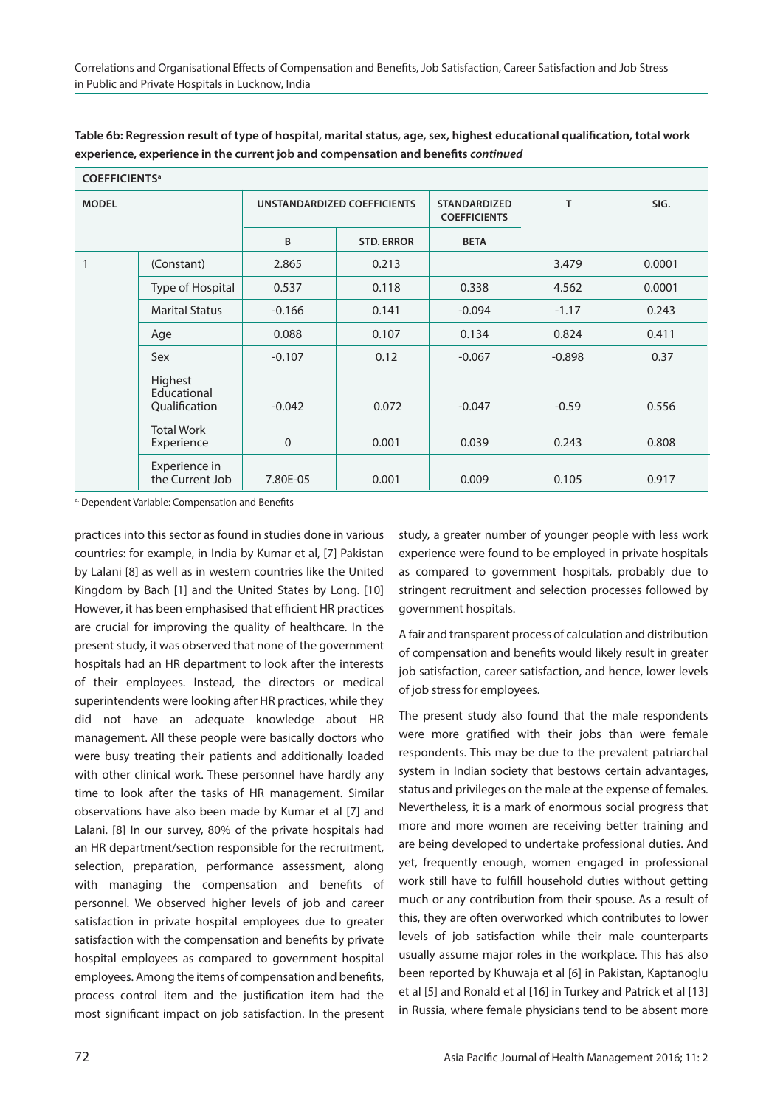| <b>COEFFICIENTS<sup>a</sup></b> |                                         |                             |                   |                                            |          |        |  |
|---------------------------------|-----------------------------------------|-----------------------------|-------------------|--------------------------------------------|----------|--------|--|
| <b>MODEL</b>                    |                                         | UNSTANDARDIZED COEFFICIENTS |                   | <b>STANDARDIZED</b><br><b>COEFFICIENTS</b> | T        | SIG.   |  |
|                                 |                                         | B                           | <b>STD. ERROR</b> | <b>BETA</b>                                |          |        |  |
|                                 | (Constant)                              | 2.865                       | 0.213             |                                            | 3.479    | 0.0001 |  |
|                                 | Type of Hospital                        | 0.537                       | 0.118             | 0.338                                      | 4.562    | 0.0001 |  |
|                                 | <b>Marital Status</b>                   | $-0.166$                    | 0.141             | $-0.094$                                   | $-1.17$  | 0.243  |  |
|                                 | Age                                     | 0.088                       | 0.107             | 0.134                                      | 0.824    | 0.411  |  |
|                                 | Sex                                     | $-0.107$                    | 0.12              | $-0.067$                                   | $-0.898$ | 0.37   |  |
|                                 | Highest<br>Educational<br>Qualification | $-0.042$                    | 0.072             | $-0.047$                                   | $-0.59$  | 0.556  |  |
|                                 | <b>Total Work</b><br>Experience         | 0                           | 0.001             | 0.039                                      | 0.243    | 0.808  |  |
|                                 | Experience in<br>the Current Job        | 7.80E-05                    | 0.001             | 0.009                                      | 0.105    | 0.917  |  |

**Table 6b: Regression result of type of hospital, marital status, age, sex, highest educational qualification, total work experience, experience in the current job and compensation and benefits continued**

a. Dependent Variable: Compensation and Benefits

practices into this sector as found in studies done in various countries: for example, in India by Kumar et al, [7] Pakistan by Lalani [8] as well as in western countries like the United Kingdom by Bach [1] and the United States by Long. [10] However, it has been emphasised that efficient HR practices are crucial for improving the quality of healthcare. In the present study, it was observed that none of the government hospitals had an HR department to look after the interests of their employees. Instead, the directors or medical superintendents were looking after HR practices, while they did not have an adequate knowledge about HR management. All these people were basically doctors who were busy treating their patients and additionally loaded with other clinical work. These personnel have hardly any time to look after the tasks of HR management. Similar observations have also been made by Kumar et al [7] and Lalani. [8] In our survey, 80% of the private hospitals had an HR department/section responsible for the recruitment, selection, preparation, performance assessment, along with managing the compensation and benefits of personnel. We observed higher levels of job and career satisfaction in private hospital employees due to greater satisfaction with the compensation and benefits by private hospital employees as compared to government hospital employees. Among the items of compensation and benefits, process control item and the justification item had the most significant impact on job satisfaction. In the present

study, a greater number of younger people with less work experience were found to be employed in private hospitals as compared to government hospitals, probably due to stringent recruitment and selection processes followed by government hospitals.

A fair and transparent process of calculation and distribution of compensation and benefits would likely result in greater job satisfaction, career satisfaction, and hence, lower levels of job stress for employees.

The present study also found that the male respondents were more gratified with their jobs than were female respondents. This may be due to the prevalent patriarchal system in Indian society that bestows certain advantages, status and privileges on the male at the expense of females. Nevertheless, it is a mark of enormous social progress that more and more women are receiving better training and are being developed to undertake professional duties. And yet, frequently enough, women engaged in professional work still have to fulfill household duties without getting much or any contribution from their spouse. As a result of this, they are often overworked which contributes to lower levels of job satisfaction while their male counterparts usually assume major roles in the workplace. This has also been reported by Khuwaja et al [6] in Pakistan, Kaptanoglu et al [5] and Ronald et al [16] in Turkey and Patrick et al [13] in Russia, where female physicians tend to be absent more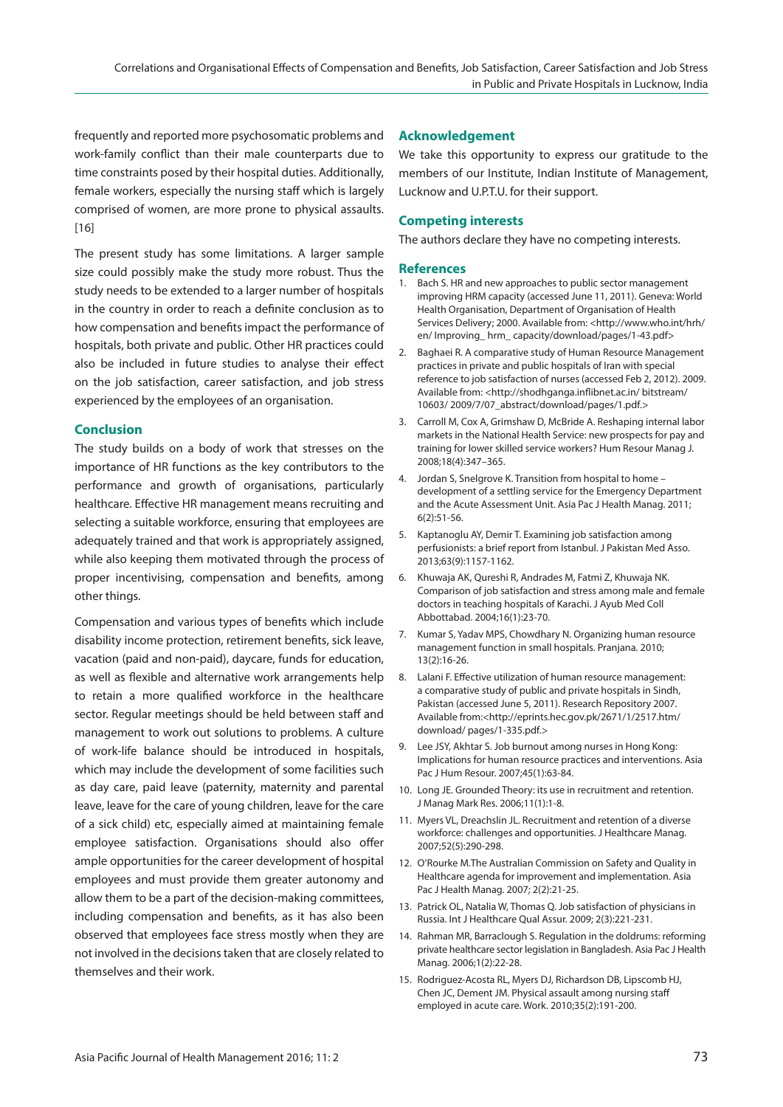frequently and reported more psychosomatic problems and work-family conflict than their male counterparts due to time constraints posed by their hospital duties. Additionally, female workers, especially the nursing staff which is largely comprised of women, are more prone to physical assaults. [16]

The present study has some limitations. A larger sample size could possibly make the study more robust. Thus the study needs to be extended to a larger number of hospitals in the country in order to reach a definite conclusion as to how compensation and benefits impact the performance of hospitals, both private and public. Other HR practices could also be included in future studies to analyse their effect on the job satisfaction, career satisfaction, and job stress experienced by the employees of an organisation.

# **Conclusion**

The study builds on a body of work that stresses on the importance of HR functions as the key contributors to the performance and growth of organisations, particularly healthcare. Effective HR management means recruiting and selecting a suitable workforce, ensuring that employees are adequately trained and that work is appropriately assigned, while also keeping them motivated through the process of proper incentivising, compensation and benefits, among other things.

Compensation and various types of benefits which include disability income protection, retirement benefits, sick leave, vacation (paid and non-paid), daycare, funds for education, as well as flexible and alternative work arrangements help to retain a more qualified workforce in the healthcare sector. Regular meetings should be held between staff and management to work out solutions to problems. A culture of work-life balance should be introduced in hospitals, which may include the development of some facilities such as day care, paid leave (paternity, maternity and parental leave, leave for the care of young children, leave for the care of a sick child) etc, especially aimed at maintaining female employee satisfaction. Organisations should also offer ample opportunities for the career development of hospital employees and must provide them greater autonomy and allow them to be a part of the decision-making committees, including compensation and benefits, as it has also been observed that employees face stress mostly when they are not involved in the decisions taken that are closely related to themselves and their work.

# **Acknowledgement**

We take this opportunity to express our gratitude to the members of our Institute, Indian Institute of Management, Lucknow and U.P.T.U. for their support.

# **Competing interests**

The authors declare they have no competing interests.

#### **References**

- 1. Bach S. HR and new approaches to public sector management improving HRM capacity (accessed June 11, 2011). Geneva: World Health Organisation, Department of Organisation of Health Services Delivery; 2000. Available from: <http://www.who.int/hrh/ en/ Improving\_ hrm\_ capacity/download/pages/1-43.pdf>
- 2. Baghaei R. A comparative study of Human Resource Management practices in private and public hospitals of Iran with special reference to job satisfaction of nurses (accessed Feb 2, 2012). 2009. Available from: <http://shodhganga.inflibnet.ac.in/ bitstream/ 10603/ 2009/7/07\_abstract/download/pages/1.pdf.>
- 3. Carroll M, Cox A, Grimshaw D, McBride A. Reshaping internal labor markets in the National Health Service: new prospects for pay and training for lower skilled service workers? Hum Resour Manag J. 2008;18(4):347–365.
- 4. Jordan S, Snelgrove K. Transition from hospital to home development of a settling service for the Emergency Department and the Acute Assessment Unit. Asia Pac J Health Manag. 2011; 6(2):51-56.
- 5. Kaptanoglu AY, Demir T. Examining job satisfaction among perfusionists: a brief report from Istanbul. J Pakistan Med Asso. 2013;63(9):1157-1162.
- 6. Khuwaja AK, Qureshi R, Andrades M, Fatmi Z, Khuwaja NK. Comparison of job satisfaction and stress among male and female doctors in teaching hospitals of Karachi. J Ayub Med Coll Abbottabad. 2004;16(1):23-70.
- 7. Kumar S, Yadav MPS, Chowdhary N. Organizing human resource management function in small hospitals. Pranjana. 2010; 13(2):16-26.
- 8. Lalani F. Effective utilization of human resource management: a comparative study of public and private hospitals in Sindh, Pakistan (accessed June 5, 2011). Research Repository 2007. Available from:<http://eprints.hec.gov.pk/2671/1/2517.htm/ download/ pages/1-335.pdf.>
- 9. Lee JSY, Akhtar S. Job burnout among nurses in Hong Kong: Implications for human resource practices and interventions. Asia Pac J Hum Resour. 2007;45(1):63-84.
- 10. Long JE. Grounded Theory: its use in recruitment and retention. J Manag Mark Res. 2006;11(1):1-8.
- 11. Myers VL, Dreachslin JL. Recruitment and retention of a diverse workforce: challenges and opportunities. J Healthcare Manag. 2007;52(5):290-298.
- 12. O'Rourke M.The Australian Commission on Safety and Quality in Healthcare agenda for improvement and implementation. Asia Pac J Health Manag. 2007; 2(2):21-25.
- 13. Patrick OL, Natalia W, Thomas Q. Job satisfaction of physicians in Russia. Int J Healthcare Qual Assur. 2009; 2(3):221-231.
- 14. Rahman MR, Barraclough S. Regulation in the doldrums: reforming private healthcare sector legislation in Bangladesh. Asia Pac J Health Manag. 2006;1(2):22-28.
- 15. Rodriguez-Acosta RL, Myers DJ, Richardson DB, Lipscomb HJ, Chen JC, Dement JM. Physical assault among nursing staff employed in acute care. Work. 2010;35(2):191-200.